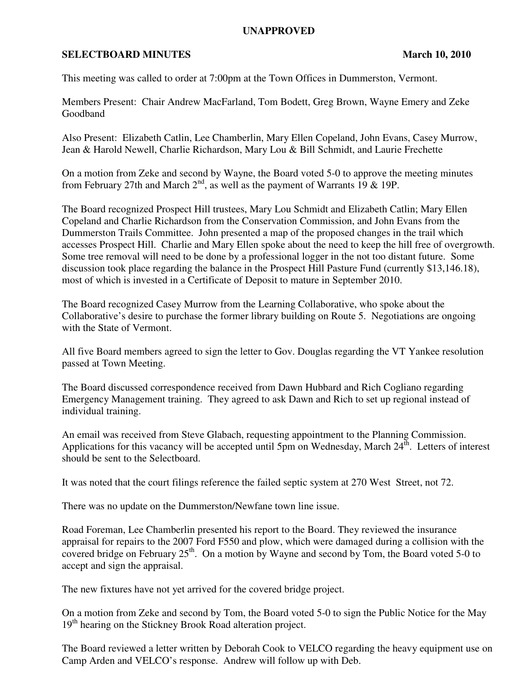## **UNAPPROVED**

## **SELECTBOARD MINUTES** March 10, 2010

This meeting was called to order at 7:00pm at the Town Offices in Dummerston, Vermont.

Members Present: Chair Andrew MacFarland, Tom Bodett, Greg Brown, Wayne Emery and Zeke Goodband

Also Present: Elizabeth Catlin, Lee Chamberlin, Mary Ellen Copeland, John Evans, Casey Murrow, Jean & Harold Newell, Charlie Richardson, Mary Lou & Bill Schmidt, and Laurie Frechette

On a motion from Zeke and second by Wayne, the Board voted 5-0 to approve the meeting minutes from February 27th and March  $2^{nd}$ , as well as the payment of Warrants 19 & 19P.

The Board recognized Prospect Hill trustees, Mary Lou Schmidt and Elizabeth Catlin; Mary Ellen Copeland and Charlie Richardson from the Conservation Commission, and John Evans from the Dummerston Trails Committee. John presented a map of the proposed changes in the trail which accesses Prospect Hill. Charlie and Mary Ellen spoke about the need to keep the hill free of overgrowth. Some tree removal will need to be done by a professional logger in the not too distant future. Some discussion took place regarding the balance in the Prospect Hill Pasture Fund (currently \$13,146.18), most of which is invested in a Certificate of Deposit to mature in September 2010.

The Board recognized Casey Murrow from the Learning Collaborative, who spoke about the Collaborative's desire to purchase the former library building on Route 5. Negotiations are ongoing with the State of Vermont.

All five Board members agreed to sign the letter to Gov. Douglas regarding the VT Yankee resolution passed at Town Meeting.

The Board discussed correspondence received from Dawn Hubbard and Rich Cogliano regarding Emergency Management training. They agreed to ask Dawn and Rich to set up regional instead of individual training.

An email was received from Steve Glabach, requesting appointment to the Planning Commission. Applications for this vacancy will be accepted until 5pm on Wednesday, March  $24^{\text{th}}$ . Letters of interest should be sent to the Selectboard.

It was noted that the court filings reference the failed septic system at 270 West Street, not 72.

There was no update on the Dummerston/Newfane town line issue.

Road Foreman, Lee Chamberlin presented his report to the Board. They reviewed the insurance appraisal for repairs to the 2007 Ford F550 and plow, which were damaged during a collision with the covered bridge on February  $25<sup>th</sup>$ . On a motion by Wayne and second by Tom, the Board voted 5-0 to accept and sign the appraisal.

The new fixtures have not yet arrived for the covered bridge project.

On a motion from Zeke and second by Tom, the Board voted 5-0 to sign the Public Notice for the May 19<sup>th</sup> hearing on the Stickney Brook Road alteration project.

The Board reviewed a letter written by Deborah Cook to VELCO regarding the heavy equipment use on Camp Arden and VELCO's response. Andrew will follow up with Deb.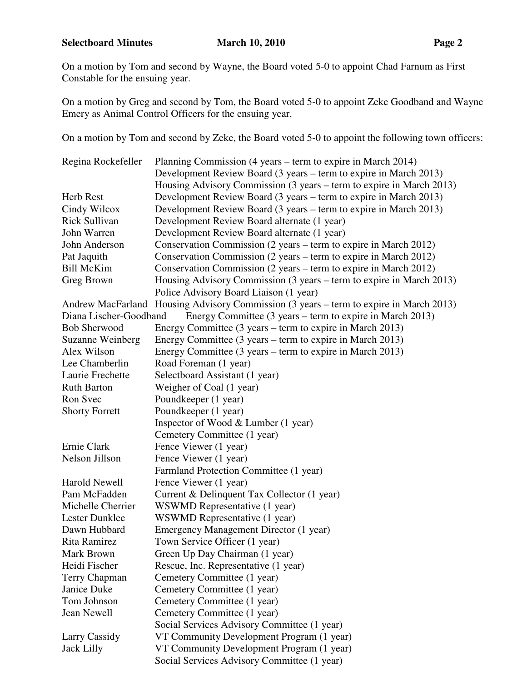On a motion by Tom and second by Wayne, the Board voted 5-0 to appoint Chad Farnum as First Constable for the ensuing year.

On a motion by Greg and second by Tom, the Board voted 5-0 to appoint Zeke Goodband and Wayne Emery as Animal Control Officers for the ensuing year.

On a motion by Tom and second by Zeke, the Board voted 5-0 to appoint the following town officers:

| Regina Rockefeller      | Planning Commission (4 years – term to expire in March 2014)                           |  |
|-------------------------|----------------------------------------------------------------------------------------|--|
|                         | Development Review Board (3 years – term to expire in March 2013)                      |  |
|                         | Housing Advisory Commission (3 years – term to expire in March 2013)                   |  |
| Herb Rest               | Development Review Board (3 years – term to expire in March 2013)                      |  |
| Cindy Wilcox            | Development Review Board (3 years – term to expire in March 2013)                      |  |
| Rick Sullivan           | Development Review Board alternate (1 year)                                            |  |
| John Warren             | Development Review Board alternate (1 year)                                            |  |
| John Anderson           | Conservation Commission (2 years – term to expire in March 2012)                       |  |
| Pat Jaquith             | Conservation Commission (2 years – term to expire in March 2012)                       |  |
| <b>Bill McKim</b>       | Conservation Commission (2 years – term to expire in March 2012)                       |  |
| Greg Brown              | Housing Advisory Commission (3 years – term to expire in March 2013)                   |  |
|                         | Police Advisory Board Liaison (1 year)                                                 |  |
|                         | Andrew MacFarland Housing Advisory Commission (3 years – term to expire in March 2013) |  |
| Diana Lischer-Goodband  | Energy Committee (3 years – term to expire in March 2013)                              |  |
| <b>Bob Sherwood</b>     | Energy Committee (3 years – term to expire in March 2013)                              |  |
| <b>Suzanne Weinberg</b> | Energy Committee (3 years – term to expire in March 2013)                              |  |
| Alex Wilson             | Energy Committee (3 years – term to expire in March 2013)                              |  |
| Lee Chamberlin          | Road Foreman (1 year)                                                                  |  |
| Laurie Frechette        | Selectboard Assistant (1 year)                                                         |  |
| <b>Ruth Barton</b>      | Weigher of Coal (1 year)                                                               |  |
| Ron Svec                | Poundkeeper (1 year)                                                                   |  |
| <b>Shorty Forrett</b>   | Poundkeeper (1 year)                                                                   |  |
|                         | Inspector of Wood $&$ Lumber (1 year)                                                  |  |
|                         | Cemetery Committee (1 year)                                                            |  |
| Ernie Clark             | Fence Viewer (1 year)                                                                  |  |
| Nelson Jillson          | Fence Viewer (1 year)                                                                  |  |
|                         | Farmland Protection Committee (1 year)                                                 |  |
| <b>Harold Newell</b>    | Fence Viewer (1 year)                                                                  |  |
| Pam McFadden            | Current & Delinquent Tax Collector (1 year)                                            |  |
| Michelle Cherrier       | WSWMD Representative (1 year)                                                          |  |
| <b>Lester Dunklee</b>   | WSWMD Representative (1 year)                                                          |  |
| Dawn Hubbard            | Emergency Management Director (1 year)                                                 |  |
| Rita Ramirez            | Town Service Officer (1 year)                                                          |  |
| Mark Brown              | Green Up Day Chairman (1 year)                                                         |  |
| Heidi Fischer           | Rescue, Inc. Representative (1 year)                                                   |  |
| Terry Chapman           | Cemetery Committee (1 year)                                                            |  |
| Janice Duke             | Cemetery Committee (1 year)                                                            |  |
| Tom Johnson             | Cemetery Committee (1 year)                                                            |  |
| Jean Newell             | Cemetery Committee (1 year)                                                            |  |
|                         | Social Services Advisory Committee (1 year)                                            |  |
| Larry Cassidy           | VT Community Development Program (1 year)                                              |  |
| <b>Jack Lilly</b>       | VT Community Development Program (1 year)                                              |  |
|                         | Social Services Advisory Committee (1 year)                                            |  |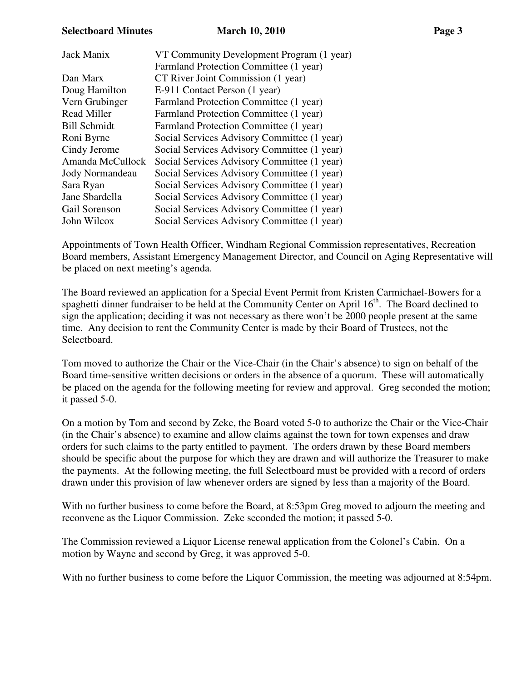## **Selectboard Minutes March 10, 2010 Page 3**

| Jack Manix          | VT Community Development Program (1 year)   |
|---------------------|---------------------------------------------|
|                     | Farmland Protection Committee (1 year)      |
| Dan Marx            | CT River Joint Commission (1 year)          |
| Doug Hamilton       | E-911 Contact Person (1 year)               |
| Vern Grubinger      | Farmland Protection Committee (1 year)      |
| <b>Read Miller</b>  | Farmland Protection Committee (1 year)      |
| <b>Bill Schmidt</b> | Farmland Protection Committee (1 year)      |
| Roni Byrne          | Social Services Advisory Committee (1 year) |
| Cindy Jerome        | Social Services Advisory Committee (1 year) |
| Amanda McCullock    | Social Services Advisory Committee (1 year) |
| Jody Normandeau     | Social Services Advisory Committee (1 year) |
| Sara Ryan           | Social Services Advisory Committee (1 year) |
| Jane Sbardella      | Social Services Advisory Committee (1 year) |
| Gail Sorenson       | Social Services Advisory Committee (1 year) |
| John Wilcox         | Social Services Advisory Committee (1 year) |

Appointments of Town Health Officer, Windham Regional Commission representatives, Recreation Board members, Assistant Emergency Management Director, and Council on Aging Representative will be placed on next meeting's agenda.

The Board reviewed an application for a Special Event Permit from Kristen Carmichael-Bowers for a spaghetti dinner fundraiser to be held at the Community Center on April 16<sup>th</sup>. The Board declined to sign the application; deciding it was not necessary as there won't be 2000 people present at the same time. Any decision to rent the Community Center is made by their Board of Trustees, not the Selectboard.

Tom moved to authorize the Chair or the Vice-Chair (in the Chair's absence) to sign on behalf of the Board time-sensitive written decisions or orders in the absence of a quorum. These will automatically be placed on the agenda for the following meeting for review and approval. Greg seconded the motion; it passed 5-0.

On a motion by Tom and second by Zeke, the Board voted 5-0 to authorize the Chair or the Vice-Chair (in the Chair's absence) to examine and allow claims against the town for town expenses and draw orders for such claims to the party entitled to payment. The orders drawn by these Board members should be specific about the purpose for which they are drawn and will authorize the Treasurer to make the payments. At the following meeting, the full Selectboard must be provided with a record of orders drawn under this provision of law whenever orders are signed by less than a majority of the Board.

With no further business to come before the Board, at 8:53pm Greg moved to adjourn the meeting and reconvene as the Liquor Commission. Zeke seconded the motion; it passed 5-0.

The Commission reviewed a Liquor License renewal application from the Colonel's Cabin. On a motion by Wayne and second by Greg, it was approved 5-0.

With no further business to come before the Liquor Commission, the meeting was adjourned at 8:54pm.